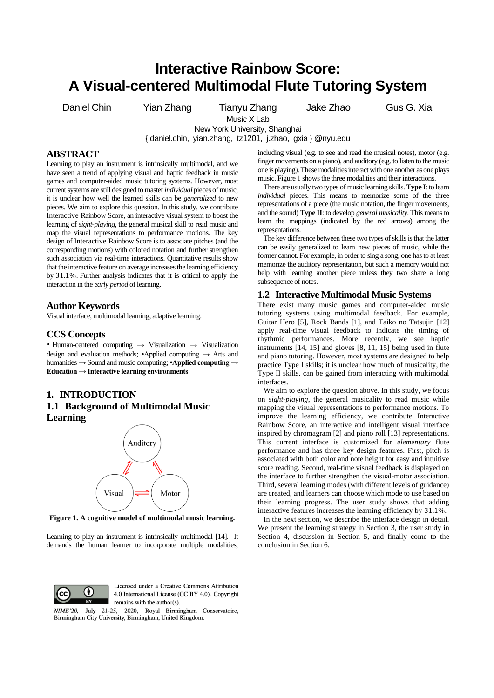# **Interactive Rainbow Score: A Visual-centered Multimodal Flute Tutoring System**

Daniel Chin Yian Zhang Tianyu Zhang Jake Zhao Gus G. Xia

Music X Lab New York University, Shanghai

{ daniel.chin, yian.zhang, tz1201, j.zhao, gxia } @nyu.edu

# **ABSTRACT**

Learning to play an instrument is intrinsically multimodal, and we have seen a trend of applying visual and haptic feedback in music games and computer-aided music tutoring systems. However, most current systems are still designed to master *individual* pieces of music; it is unclear how well the learned skills can be *generalized* to new pieces. We aim to explore this question. In this study, we contribute Interactive Rainbow Score, an interactive visual system to boost the learning of *sight-playing*, the general musical skill to read music and map the visual representations to performance motions. The key design of Interactive Rainbow Score is to associate pitches (and the corresponding motions) with colored notation and further strengthen such association via real-time interactions. Quantitative results show that the interactive feature on average increases the learning efficiency by 31.1%. Further analysis indicates that it is critical to apply the interaction in the *early period* of learning.

## **Author Keywords**

Visual interface, multimodal learning, adaptive learning.

## **CCS Concepts**

• Human-centered computing → Visualization → Visualization design and evaluation methods; •Applied computing → Arts and humanities → Sound and music computing; **•Applied computing → Education → Interactive learning environments**

# **1. INTRODUCTION 1.1 Background of Multimodal Music Learning**



**Figure 1. A cognitive model of multimodal music learning.**

Learning to play an instrument is intrinsically multimodal [14]. It demands the human learner to incorporate multiple modalities,



There are usually two types of music learning skills. **Type I**: to learn *individual* pieces. This means to memorize some of the three representations of a piece (the music notation, the finger movements, and the sound) **Type II**: to develop *general musicality*. This means to learn the mappings (indicated by the red arrows) among the representations.

The key difference between these two types of skills is that the latter can be easily generalized to learn new pieces of music, while the former cannot. For example, in order to sing a song, one has to at least memorize the auditory representation, but such a memory would not help with learning another piece unless they two share a long subsequence of notes.

## **1.2 Interactive Multimodal Music Systems**

There exist many music games and computer-aided music tutoring systems using multimodal feedback. For example, Guitar Hero [5], Rock Bands [1], and Taiko no Tatsujin [12] apply real-time visual feedback to indicate the timing of rhythmic performances. More recently, we see haptic instruments [14, 15] and gloves [8, 11, 15] being used in flute and piano tutoring. However, most systems are designed to help practice Type I skills; it is unclear how much of musicality, the Type II skills, can be gained from interacting with multimodal interfaces.

We aim to explore the question above. In this study, we focus on *sight-playing*, the general musicality to read music while mapping the visual representations to performance motions. To improve the learning efficiency, we contribute Interactive Rainbow Score, an interactive and intelligent visual interface inspired by chromagram [2] and piano roll [13] representations. This current interface is customized for *elementary* flute performance and has three key design features. First, pitch is associated with both color and note height for easy and intuitive score reading. Second, real-time visual feedback is displayed on the interface to further strengthen the visual-motor association. Third, several learning modes (with different levels of guidance) are created, and learners can choose which mode to use based on their learning progress. The user study shows that adding interactive features increases the learning efficiency by 31.1%.

In the next section, we describe the interface design in detail. We present the learning strategy in Section [3,](#page-2-0) the user study in Section [4,](#page-2-1) discussion in Section [5,](#page-5-0) and finally come to the conclusion in Sectio[n 6.](#page-5-1)



Licensed under a Creative Commons Attribution 4.0 International License (CC BY 4.0). Copyright remains with the author(s).

NIME'20, July 21-25, 2020, Royal Birmingham Conservatoire, Birmingham City University, Birmingham, United Kingdom.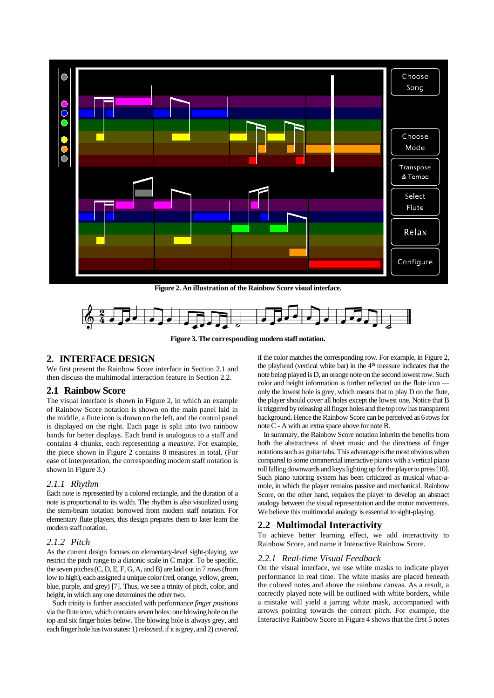

**Figure 2. An illustration of the Rainbow Score visual interface.**



**Figure 3. The corresponding modern staff notation.**

# **2. INTERFACE DESIGN**

We first present the Rainbow Score interface in Section [2.1](#page-1-0) and then discuss the multimodal interaction feature in Sectio[n 2.2.](#page-1-1)

#### <span id="page-1-0"></span>**2.1 Rainbow Score**

The visual interface is shown in Figure 2, in which an example of Rainbow Score notation is shown on the main panel laid in the middle, a flute icon is drawn on the left, and the control panel is displayed on the right. Each page is split into two rainbow bands for better displays. Each band is analogous to a staff and contains 4 chunks, each representing a *measure*. For example, the piece shown in Figure 2 contains 8 measures in total. (For ease of interpretation, the corresponding modern staff notation is shown in Figure 3.)

#### *2.1.1 Rhythm*

Each note is represented by a colored rectangle, and the duration of a note is proportional to its width. The rhythm is also visualized using the stem-beam notation borrowed from modern staff notation. For elementary flute players, this design prepares them to later learn the modern staff notation.

## *2.1.2 Pitch*

As the current design focuses on elementary-level sight-playing, we restrict the pitch range to a diatonic scale in C major. To be specific, the seven pitches (C, D, E, F, G, A, and B) are laid out in 7 rows (from low to high), each assigned a unique color (red, orange, yellow, green, blue, purple, and grey) [7]. Thus, we see a trinity of pitch, color, and height, in which any one determines the other two.

Such trinity is further associated with performance *finger positions* via the flute icon, which contains seven holes: one blowing hole on the top and six finger holes below. The blowing hole is always grey, and each finger hole has two states: 1) *released*, if it is grey, and 2) *covered*, if the color matches the corresponding row. For example, in Figure 2, the playhead (vertical white bar) in the  $4<sup>th</sup>$  measure indicates that the note being played is D, an orange note on the second lowest row. Such color and height information is further reflected on the flute icon only the lowest hole is grey, which means that to play D on the flute, the player should cover all holes except the lowest one. Notice that B is triggered by releasing all finger holes and the top rowhas transparent background. Hence the Rainbow Score can be perceived as 6 rows for note C - A with an extra space above for note B.

In summary, the Rainbow Score notation inherits the benefits from both the abstractness of sheet music and the directness of finger notations such as guitar tabs. This advantage is the most obvious when compared to some commercial interactive pianos with a vertical piano roll falling downwards and keys lighting up for the player to press [10]. Such piano tutoring system has been criticized as musical whac-amole, in which the player remains passive and mechanical. Rainbow Score, on the other hand, requires the player to develop an abstract analogy between the visual representation and the motor movements. We believe this multimodal analogy is essential to sight-playing.

## <span id="page-1-1"></span>**2.2 Multimodal Interactivity**

To achieve better learning effect, we add interactivity to Rainbow Score, and name it Interactive Rainbow Score.

#### <span id="page-1-2"></span>*2.2.1 Real-time Visual Feedback*

On the visual interface, we use white masks to indicate player performance in real time. The white masks are placed beneath the colored notes and above the rainbow canvas. As a result, a correctly played note will be outlined with white borders, while a mistake will yield a jarring white mask, accompanied with arrows pointing towards the correct pitch. For example, the Interactive Rainbow Score in Figure 4 shows that the first 5 notes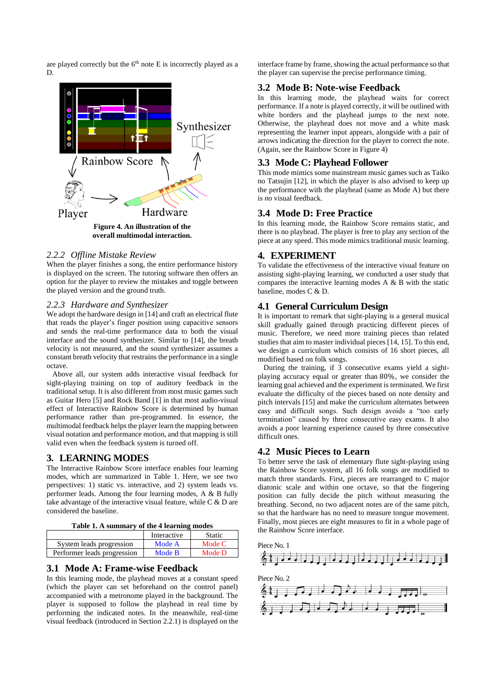are played correctly but the  $6<sup>th</sup>$  note E is incorrectly played as a D.



#### *2.2.2 Offline Mistake Review*

When the player finishes a song, the entire performance history is displayed on the screen. The tutoring software then offers an option for the player to review the mistakes and toggle between the played version and the ground truth.

#### *2.2.3 Hardware and Synthesizer*

We adopt the hardware design in [14] and craft an electrical flute that reads the player's finger position using capacitive sensors and sends the real-time performance data to both the visual interface and the sound synthesizer. Similar to [14], the breath velocity is not measured, and the sound synthesizer assumes a constant breath velocity that restrains the performance in a single octave.

Above all, our system adds interactive visual feedback for sight-playing training on top of auditory feedback in the traditional setup. It is also different from most music games such as Guitar Hero [5] and Rock Band [1] in that most audio-visual effect of Interactive Rainbow Score is determined by human performance rather than pre-programmed. In essence, the multimodal feedback helps the player learn the mapping between visual notation and performance motion, and that mapping is still valid even when the feedback system is turned off.

# <span id="page-2-0"></span>**3. LEARNING MODES**

The Interactive Rainbow Score interface enables four learning modes, which are summarized in Table 1. Here, we see two perspectives: 1) static vs. interactive, and 2) system leads vs. performer leads. Among the four learning modes, A & B fully take advantage of the interactive visual feature, while C & D are considered the baseline.

| Table 1. A summary of the 4 learning modes |  |  |
|--------------------------------------------|--|--|
|--------------------------------------------|--|--|

|                             | Interactive | <b>Static</b> |
|-----------------------------|-------------|---------------|
| System leads progression    | Mode A      | Mode C        |
| Performer leads progression | Mode B      | Mode D        |

# **3.1 Mode A: Frame-wise Feedback**

In this learning mode, the playhead moves at a constant speed (which the player can set beforehand on the control panel) accompanied with a metronome played in the background. The player is supposed to follow the playhead in real time by performing the indicated notes. In the meanwhile, real-time visual feedback (introduced in Section [2.2.1\)](#page-1-2) is displayed on the

interface frame by frame, showing the actual performance so that the player can supervise the precise performance timing.

## **3.2 Mode B: Note-wise Feedback**

In this learning mode, the playhead waits for correct performance. If a note is played correctly, it will be outlined with white borders and the playhead jumps to the next note. Otherwise, the playhead does not move and a white mask representing the learner input appears, alongside with a pair of arrows indicating the direction for the player to correct the note. (Again, see the Rainbow Score in Figure 4)

# **3.3 Mode C: Playhead Follower**

This mode mimics some mainstream music games such as Taiko no Tatsujin [12], in which the player is also advised to keep up the performance with the playhead (same as Mode A) but there is *no* visual feedback.

## **3.4 Mode D: Free Practice**

In this learning mode, the Rainbow Score remains static, and there is no playhead. The player is free to play any section of the piece at any speed. This mode mimics traditional music learning.

## <span id="page-2-1"></span>**4. EXPERIMENT**

To validate the effectiveness of the interactive visual feature on assisting sight-playing learning, we conducted a user study that compares the interactive learning modes A & B with the static baseline, modes C & D.

## **4.1 General Curriculum Design**

It is important to remark that sight-playing is a general musical skill gradually gained through practicing different pieces of music. Therefore, we need more training pieces than related studies that aim to master individual pieces [14, 15]. To this end, we design a curriculum which consists of 16 short pieces, all modified based on folk songs.

During the training, if 3 consecutive exams yield a sightplaying accuracy equal or greater than 80%, we consider the learning goal achieved and the experiment is terminated. We first evaluate the difficulty of the pieces based on note density and pitch intervals [15] and make the curriculum alternates between easy and difficult songs. Such design avoids a "too early termination" caused by three consecutive easy exams. It also avoids a poor learning experience caused by three consecutive difficult ones.

## **4.2 Music Pieces to Learn**

To better serve the task of elementary flute sight-playing using the Rainbow Score system, all 16 folk songs are modified to match three standards. First, pieces are rearranged to C major diatonic scale and within one octave, so that the fingering position can fully decide the pitch without measuring the breathing. Second, no two adjacent notes are of the same pitch, so that the hardware has no need to measure tongue movement. Finally, most pieces are eight measures to fit in a whole page of the Rainbow Score interface.

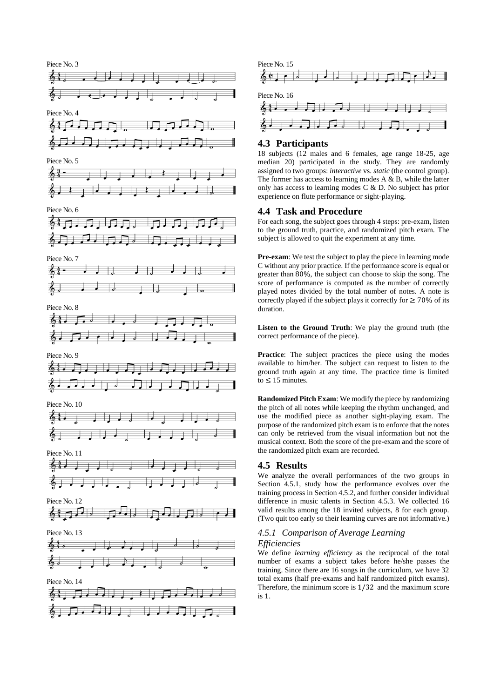



# **4.3 Participants**

18 subjects (12 males and 6 females, age range 18-25, age median 20) participated in the study. They are randomly assigned to two groups: *interactive* vs . *static* (the control group). The former has access to learning modes A & B, while the latter only has access to learning modes C & D. No subject has prior experience on flute performance or sight -playing.

# **4.4 Task and Procedure**

For each song, the subject goes through 4 steps: pre -exam, listen to the ground truth, practice, and randomized pitch exam. The subject is allowed to quit the experiment at any time.

**Pre-exam**: We test the subject to play the piece in learning mode C without any prior practice. If the performance score is equal or greater than 80%, the subject can choose to skip the song. The score of performance is computed as the number of correctly played notes divided by the total number of notes. A note is correctly played if the subject plays it correctly for  $\geq 70\%$  of its duration.

**Listen to the Ground Truth**: We play the ground truth (the correct performance of the piece).

**Practice**: The subject practices the piece using the modes available to him/her. The subject can request to listen to the ground truth again at any time. The practice time is limited to  $\leq 15$  minutes.

**Randomized Pitch Exam**: We modify the piece by randomizing the pitch of all notes while keeping the rhythm unchanged, and use the modified piece as another sight -playing exam. The purpose of the randomized pitch exam is to enforce that the notes can only be retrieved from the visual information but not the musical context. Both the score of the pre -exam and the score of the randomized pitch exam are recorded.

# **4.5 Result s**

We analyze the overall performances of the two groups in Section [4.5.1,](#page-3-0) study how the performance evolves over the training process in Sectio[n 4.5.2,](#page-4-0) and further consider individual difference in music talents in Section [4.5.3.](#page-4-1) We collected 16 valid results among the 18 invited subjects, 8 for each group. (Two quit too early so their learning curve s are not informative.)

## <span id="page-3-0"></span>*4.5.1 Comparison of Average Learning Efficiencies*

We define *learning efficiency* as the reciprocal of the total number of exams a subject takes before he/she passes the training. Since there are 16 songs in the curriculum, we have 32 total exams (half pre -exam s and half randomized pitch exam s). Therefore, the minimum score is 1 /32 and the maximum score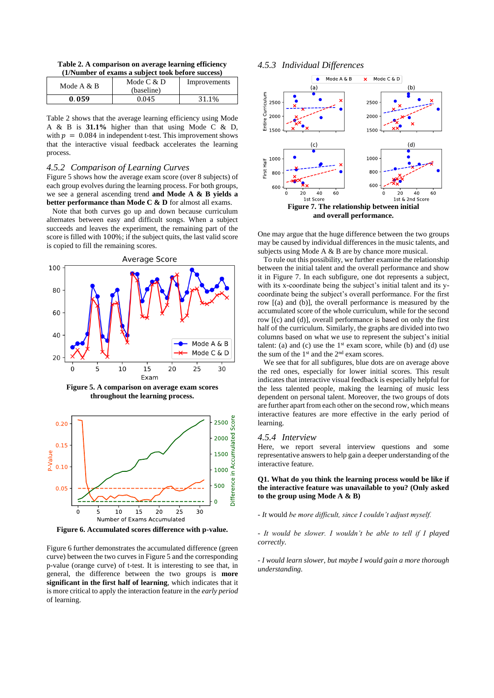**Table 2. A comparison on average learning efficiency (1/Number of exams a subject took before success)**

| Mode $A & B$ | Mode $C & D$ | Improvements |
|--------------|--------------|--------------|
|              | (baseline)   |              |
| 0.059        | 0.045        | 31.1%        |

Table 2 shows that the average learning efficiency using Mode A & B is **31.1%** higher than that using Mode C & D, with  $p = 0.084$  in independent t-test. This improvement shows that the interactive visual feedback accelerates the learning process.

#### <span id="page-4-0"></span>*4.5.2 Comparison of Learning Curves*

Figure 5 shows how the average exam score (over 8 subjects) of each group evolves during the learning process. For both groups, we see a general ascending trend **and Mode A & B yields a better performance than Mode C & D** for almost all exams.

Note that both curves go up and down because curriculum alternates between easy and difficult songs. When a subject succeeds and leaves the experiment, the remaining part of the score is filled with 100%; if the subject quits, the last valid score is copied to fill the remaining scores.







**Figure 6. Accumulated scores difference with p-value.**

Figure 6 further demonstrates the accumulated difference (green curve) between the two curves in Figure 5 and the corresponding p-value (orange curve) of t-test. It is interesting to see that, in general, the difference between the two groups is **more significant in the first half of learning**, which indicates that it is more critical to apply the interaction feature in the *early period* of learning.

#### <span id="page-4-1"></span>*4.5.3 Individual Differences*



One may argue that the huge difference between the two groups may be caused by individual differences in the music talents, and subjects using Mode A & B are by chance more musical.

To rule out this possibility, we further examine the relationship between the initial talent and the overall performance and show it in Figure 7. In each subfigure, one dot represents a subject, with its x-coordinate being the subject's initial talent and its ycoordinate being the subject's overall performance. For the first row [(a) and (b)], the overall performance is measured by the accumulated score of the whole curriculum, while for the second row [(c) and (d)], overall performance is based on only the first half of the curriculum. Similarly, the graphs are divided into two columns based on what we use to represent the subject's initial talent: (a) and (c) use the  $1<sup>st</sup>$  exam score, while (b) and (d) use the sum of the 1<sup>st</sup> and the 2<sup>nd</sup> exam scores.

We see that for all subfigures, blue dots are on average above the red ones, especially for lower initial scores. This result indicates that interactive visual feedback is especially helpful for the less talented people, making the learning of music less dependent on personal talent. Moreover, the two groups of dots are further apart from each other on the second row, which means interactive features are more effective in the early period of learning.

#### *4.5.4 Interview*

Here, we report several interview questions and some representative answers to help gain a deeper understanding of the interactive feature.

**Q1. What do you think the learning process would be like if the interactive feature was unavailable to you? (Only asked to the group using Mode A & B)**

*- It* would *be more difficult, since I couldn't adjust myself.* 

*- It would be slower. I wouldn't be able to tell if I played correctly.* 

*- I would learn slower, but maybe I would gain a more thorough understanding.*